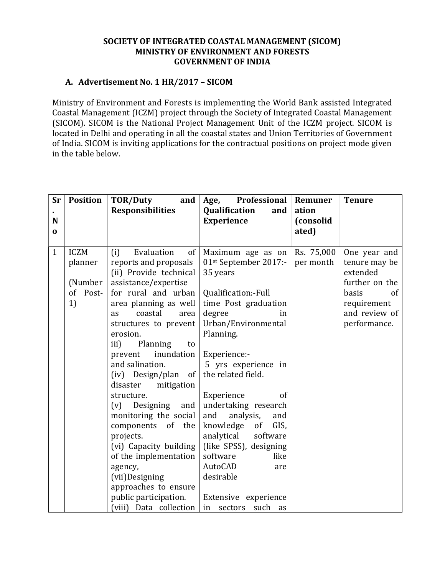## SOCIETY OF INTEGRATED COASTAL MANAGEMENT (SICOM) MINISTRY OF ENVIRONMENT AND FORESTS GOVERNMENT OF INDIA

## A. Advertisement No. 1 HR/2017 – SICOM

Ministry of Environment and Forests is implementing the World Bank assisted Integrated Coastal Management (ICZM) project through the Society of Integrated Coastal Management (SICOM). SICOM is the National Project Management Unit of the ICZM project. SICOM is located in Delhi and operating in all the coastal states and Union Territories of Government of India. SICOM is inviting applications for the contractual positions on project mode given in the table below.

| <b>Sr</b>    | <b>Position</b> | TOR/Duty<br>and                               | Professional<br>Age,                               | Remuner    | <b>Tenure</b>  |
|--------------|-----------------|-----------------------------------------------|----------------------------------------------------|------------|----------------|
|              |                 | <b>Responsibilities</b>                       | Qualification<br>and                               | ation      |                |
| N            |                 |                                               | <b>Experience</b>                                  | (consolid  |                |
| 0            |                 |                                               |                                                    | ated)      |                |
|              |                 |                                               |                                                    |            |                |
| $\mathbf{1}$ | <b>ICZM</b>     | Evaluation<br>(i)<br>of                       | Maximum age as on                                  | Rs. 75,000 | One year and   |
|              | planner         | reports and proposals                         | 01st September 2017:-                              | per month  | tenure may be  |
|              |                 | (ii) Provide technical                        | 35 years                                           |            | extended       |
|              | (Number)        | assistance/expertise                          |                                                    |            | further on the |
|              | of<br>Post-     | for rural and urban                           | Qualification:-Full                                |            | basis<br>of    |
|              | 1)              | area planning as well                         | time Post graduation                               |            | requirement    |
|              |                 | coastal<br>area<br><b>as</b>                  | degree<br>in                                       |            | and review of  |
|              |                 | structures to prevent                         | Urban/Environmental                                |            | performance.   |
|              |                 | erosion.                                      | Planning.                                          |            |                |
|              |                 | iii)<br>Planning<br>to                        |                                                    |            |                |
|              |                 | inundation<br>prevent                         | Experience:-                                       |            |                |
|              |                 | and salination.                               | 5 yrs experience in                                |            |                |
|              |                 | $(iv)$ Design/plan of                         | the related field.                                 |            |                |
|              |                 | disaster<br>mitigation                        |                                                    |            |                |
|              |                 | structure.                                    | Experience<br>of                                   |            |                |
|              |                 | (v) Designing<br>and                          | undertaking research                               |            |                |
|              |                 | monitoring the social<br>components<br>of the | and<br>analysis,<br>and<br>knowledge<br>of<br>GIS, |            |                |
|              |                 | projects.                                     | analytical software                                |            |                |
|              |                 | (vi) Capacity building                        | (like SPSS), designing                             |            |                |
|              |                 | of the implementation                         | software<br>like                                   |            |                |
|              |                 | agency,                                       | AutoCAD<br>are                                     |            |                |
|              |                 | (vii)Designing                                | desirable                                          |            |                |
|              |                 | approaches to ensure                          |                                                    |            |                |
|              |                 | public participation.                         | Extensive experience                               |            |                |
|              |                 | (viii) Data collection                        | such<br>sectors<br>in<br>as                        |            |                |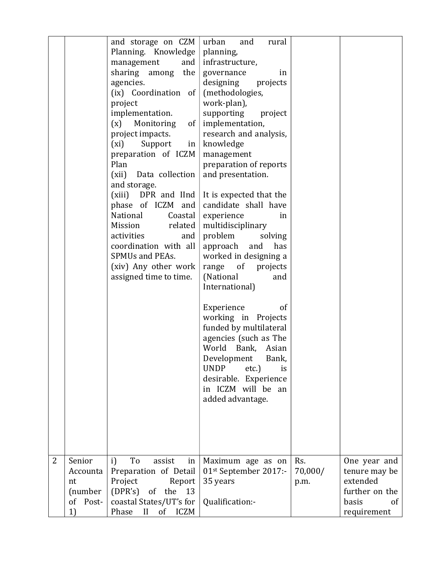|                |          | and storage on $CZM$                            | urban<br>and<br>rural                       |         |                        |
|----------------|----------|-------------------------------------------------|---------------------------------------------|---------|------------------------|
|                |          | Planning. Knowledge                             | planning,                                   |         |                        |
|                |          | management<br>and $ $                           | infrastructure,                             |         |                        |
|                |          | sharing among<br>the                            | governance<br>in                            |         |                        |
|                |          | agencies.                                       | designing<br>projects                       |         |                        |
|                |          | (ix) Coordination of                            | (methodologies,                             |         |                        |
|                |          | project                                         | work-plan),                                 |         |                        |
|                |          | implementation.                                 | supporting<br>project                       |         |                        |
|                |          | of  <br>(x)<br>Monitoring                       | implementation,                             |         |                        |
|                |          | project impacts.                                | research and analysis,                      |         |                        |
|                |          | Support<br>(xi)<br>$\ln$<br>preparation of ICZM | knowledge                                   |         |                        |
|                |          | Plan                                            | management<br>preparation of reports        |         |                        |
|                |          | Data collection<br>(xii)                        | and presentation.                           |         |                        |
|                |          | and storage.                                    |                                             |         |                        |
|                |          |                                                 | (xiii) DPR and IInd It is expected that the |         |                        |
|                |          | phase of ICZM and                               | candidate shall have                        |         |                        |
|                |          | National<br>Coastal                             | experience<br>in                            |         |                        |
|                |          | related<br>Mission                              | multidisciplinary                           |         |                        |
|                |          | activities<br>and                               | problem<br>solving                          |         |                        |
|                |          | coordination with all                           | approach and<br>has                         |         |                        |
|                |          | SPMUs and PEAs.                                 | worked in designing a                       |         |                        |
|                |          | (xiv) Any other work                            | range of projects                           |         |                        |
|                |          | assigned time to time.                          | (National<br>and                            |         |                        |
|                |          |                                                 | International)                              |         |                        |
|                |          |                                                 |                                             |         |                        |
|                |          |                                                 | Experience<br>of                            |         |                        |
|                |          |                                                 | working in Projects                         |         |                        |
|                |          |                                                 | funded by multilateral                      |         |                        |
|                |          |                                                 | agencies (such as The                       |         |                        |
|                |          |                                                 | World Bank,<br>Asian                        |         |                        |
|                |          |                                                 | Development<br>Bank,                        |         |                        |
|                |          |                                                 | <b>UNDP</b><br>$etc.$ )<br>is               |         |                        |
|                |          |                                                 | desirable. Experience                       |         |                        |
|                |          |                                                 | in ICZM will be an                          |         |                        |
|                |          |                                                 | added advantage.                            |         |                        |
|                |          |                                                 |                                             |         |                        |
|                |          |                                                 |                                             |         |                        |
|                |          |                                                 |                                             |         |                        |
|                |          |                                                 |                                             |         |                        |
| $\overline{2}$ | Senior   | To<br>i)<br>assist<br>in                        | Maximum age as on                           | Rs.     | One year and           |
|                | Accounta | Preparation of Detail                           | 01st September 2017:-                       | 70,000/ | tenure may be          |
|                | nt       | Project<br>Report                               | 35 years                                    | p.m.    | extended               |
|                | (number  | (DPR's) of the 13                               |                                             |         | further on the         |
|                | of Post- | coastal States/UT's for                         | Qualification:-                             |         | basis<br><sub>of</sub> |
|                | 1)       | Phase<br>II of ICZM                             |                                             |         | requirement            |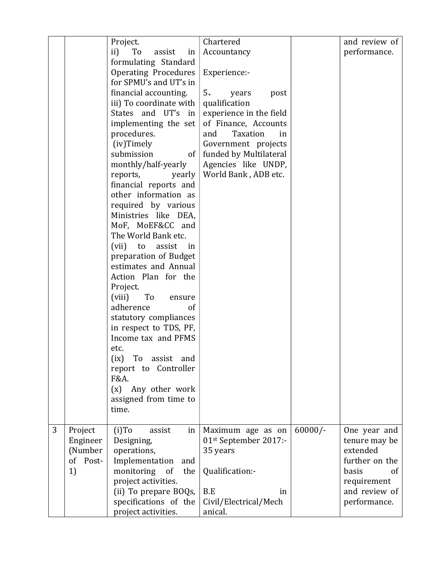|   |          | Project.                        | Chartered               |           | and review of  |
|---|----------|---------------------------------|-------------------------|-----------|----------------|
|   |          | ii)<br>To<br>assist<br>in       | Accountancy             |           | performance.   |
|   |          | formulating Standard            |                         |           |                |
|   |          | <b>Operating Procedures</b>     | Experience:-            |           |                |
|   |          | for SPMU's and UT's in          |                         |           |                |
|   |          | financial accounting.           | $5+$<br>years<br>post   |           |                |
|   |          | iii) To coordinate with         | qualification           |           |                |
|   |          | States and UT's in              | experience in the field |           |                |
|   |          | implementing the set            | of Finance, Accounts    |           |                |
|   |          | procedures.                     | Taxation<br>and<br>in   |           |                |
|   |          | (iv)Timely                      | Government projects     |           |                |
|   |          | submission<br>of <sub>1</sub>   | funded by Multilateral  |           |                |
|   |          | monthly/half-yearly             | Agencies like UNDP,     |           |                |
|   |          | reports,<br>yearly              | World Bank, ADB etc.    |           |                |
|   |          | financial reports and           |                         |           |                |
|   |          | other information as            |                         |           |                |
|   |          | required by various             |                         |           |                |
|   |          | Ministries like DEA,            |                         |           |                |
|   |          | MoF, MoEF&CC and                |                         |           |                |
|   |          | The World Bank etc.             |                         |           |                |
|   |          | (vii) to<br>assist<br>in        |                         |           |                |
|   |          | preparation of Budget           |                         |           |                |
|   |          | estimates and Annual            |                         |           |                |
|   |          | Action Plan for the<br>Project. |                         |           |                |
|   |          | (viii)<br>To<br>ensure          |                         |           |                |
|   |          | adherence<br>of                 |                         |           |                |
|   |          | statutory compliances           |                         |           |                |
|   |          | in respect to TDS, PF,          |                         |           |                |
|   |          | Income tax and PFMS             |                         |           |                |
|   |          | etc.                            |                         |           |                |
|   |          | (ix) To assist and              |                         |           |                |
|   |          | report to Controller            |                         |           |                |
|   |          | F&A.                            |                         |           |                |
|   |          | Any other work<br>(x)           |                         |           |                |
|   |          | assigned from time to           |                         |           |                |
|   |          | time.                           |                         |           |                |
|   |          |                                 |                         |           |                |
| 3 | Project  | $(i)$ To<br>assist<br>in        | Maximum age as on       | $60000/-$ | One year and   |
|   | Engineer | Designing,                      | 01st September 2017:-   |           | tenure may be  |
|   | (Number  | operations,                     | 35 years                |           | extended       |
|   | of Post- | Implementation<br>and           |                         |           | further on the |
|   | 1)       | monitoring<br>of<br>the         | Qualification:-         |           | basis<br>οf    |
|   |          | project activities.             |                         |           | requirement    |
|   |          | (ii) To prepare BOQs,           | B.E<br>in               |           | and review of  |
|   |          | specifications of the           | Civil/Electrical/Mech   |           | performance.   |
|   |          | project activities.             | anical.                 |           |                |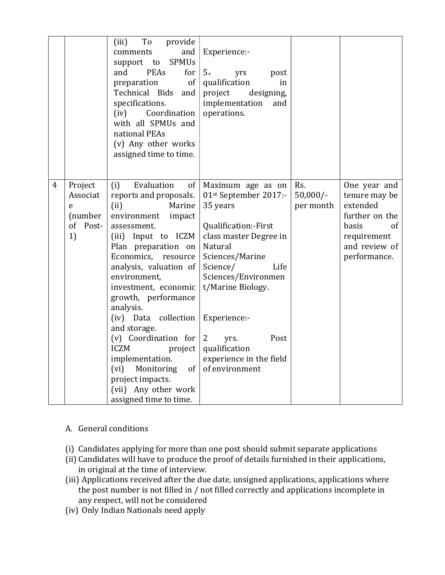|   |                                                          | To<br>provide<br>(iii)<br>and<br>comments<br><b>SPMUs</b><br>support to<br><b>PEAs</b><br>and<br>for<br>of<br>preparation<br>Technical Bids and<br>specifications.<br>Coordination<br>(iv)<br>with all SPMUs and<br>national PEAs<br>(v) Any other works<br>assigned time to time.                                                                                                                                                                                                                    | Experience:-<br>$5+$<br>yrs<br>post<br>qualification<br>in<br>designing,<br>project<br>implementation<br>and<br>operations.                                                                                                                                                                               |                                |                                                                                                                            |
|---|----------------------------------------------------------|-------------------------------------------------------------------------------------------------------------------------------------------------------------------------------------------------------------------------------------------------------------------------------------------------------------------------------------------------------------------------------------------------------------------------------------------------------------------------------------------------------|-----------------------------------------------------------------------------------------------------------------------------------------------------------------------------------------------------------------------------------------------------------------------------------------------------------|--------------------------------|----------------------------------------------------------------------------------------------------------------------------|
| 4 | Project<br>Associat<br>e<br>(number<br>of<br>Post-<br>1) | Evaluation<br>of<br>(i)<br>reports and proposals.<br>(ii)<br>Marine<br>environment<br>impact<br>assessment.<br>(iii) Input to ICZM<br>Plan preparation on<br>Economics, resource<br>analysis, valuation of<br>environment,<br>investment, economic<br>growth, performance<br>analysis.<br>(iv) Data collection<br>and storage.<br>(v) Coordination for<br><b>ICZM</b><br>project<br>implementation.<br>Monitoring<br>of<br>(vi)<br>project impacts.<br>(vii) Any other work<br>assigned time to time. | Maximum age as on<br>01st September 2017:-<br>35 years<br>Qualification:-First<br>class master Degree in<br>Natural<br>Sciences/Marine<br>Science/<br>Life<br>Sciences/Environmen<br>t/Marine Biology.<br>Experience:-<br>2<br>Post<br>yrs.<br>qualification<br>experience in the field<br>of environment | Rs.<br>$50,000/-$<br>per month | One year and<br>tenure may be<br>extended<br>further on the<br>basis<br>of<br>requirement<br>and review of<br>performance. |

- A. General conditions
- (i) Candidates applying for more than one post should submit separate applications
- (ii) Candidates will have to produce the proof of details furnished in their applications, in original at the time of interview.
- (iii) Applications received after the due date, unsigned applications, applications where the post number is not filled in / not filled correctly and applications incomplete in any respect, will not be considered
- (iv) Only Indian Nationals need apply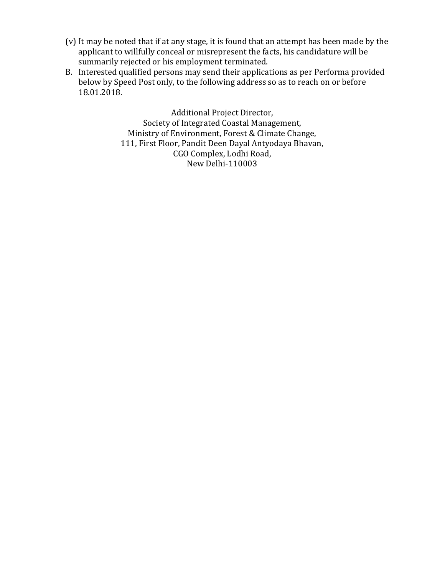- (v) It may be noted that if at any stage, it is found that an attempt has been made by the applicant to willfully conceal or misrepresent the facts, his candidature will be summarily rejected or his employment terminated.
- B. Interested qualified persons may send their applications as per Performa provided below by Speed Post only, to the following address so as to reach on or before 18.01.2018.

Additional Project Director, Society of Integrated Coastal Management, Ministry of Environment, Forest & Climate Change, 111, First Floor, Pandit Deen Dayal Antyodaya Bhavan, CGO Complex, Lodhi Road, New Delhi-110003